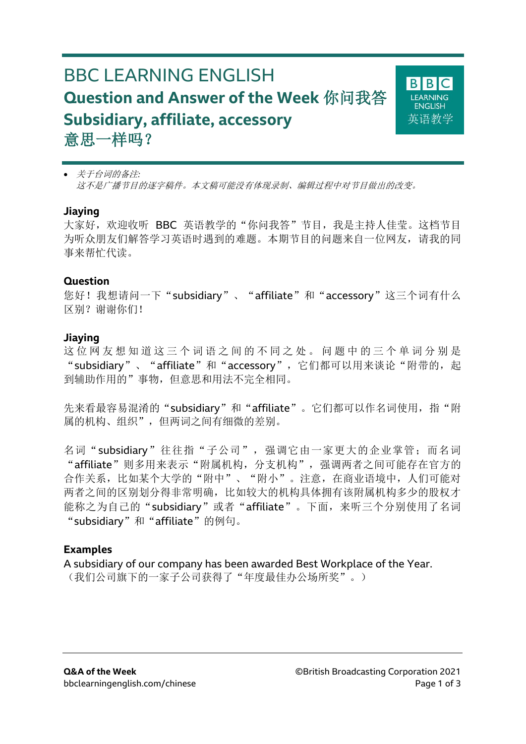# BBC LEARNING ENGLISH **Question and Answer of the Week** 你问我答 **Subsidiary, affiliate, accessory** 意思一样吗?



 关于台词的备注*:* 这不是广播节目的逐字稿件。本文稿可能没有体现录制、编辑过程中对节目做出的改变。

#### **Jiaying**

大家好,欢迎收听 BBC 英语教学的"你问我答"节目,我是主持人佳莹。这档节目 为听众朋友们解答学习英语时遇到的难题。本期节目的问题来自一位网友,请我的同 事来帮忙代读。

#### **Question**

您好!我想请问一下"subsidiary"、"affiliate"和"accessory"这三个词有什么 区别?谢谢你们!

#### **Jiaying**

这位网友想知道这三个词语之间的不同之处。问题中的三个单词分别是 "subsidiary"、"affiliate"和"accessory",它们都可以用来谈论"附带的,起 到辅助作用的"事物,但意思和用法不完全相同。

先来看最容易混淆的"subsidiary"和"affiliate"。它们都可以作名词使用, 指"附 属的机构、组织",但两词之间有细微的差别。

名词"subsidiary"往往指"子公司", 强调它由一家更大的企业掌管; 而名词 "affiliate"则多用来表示"附属机构,分支机构",强调两者之间可能存在官方的 合作关系,比如某个大学的"附中"、"附小"。注意,在商业语境中,人们可能对 两者之间的区别划分得非常明确,比如较大的机构具体拥有该附属机构多少的股权才 能称之为自己的"subsidiary"或者"affiliate"。下面,来听三个分别使用了名词 "subsidiary"和"affiliate"的例句。

#### **Examples**

A subsidiary of our company has been awarded Best Workplace of the Year. (我们公司旗下的一家子公司获得了"年度最佳办公场所奖"。)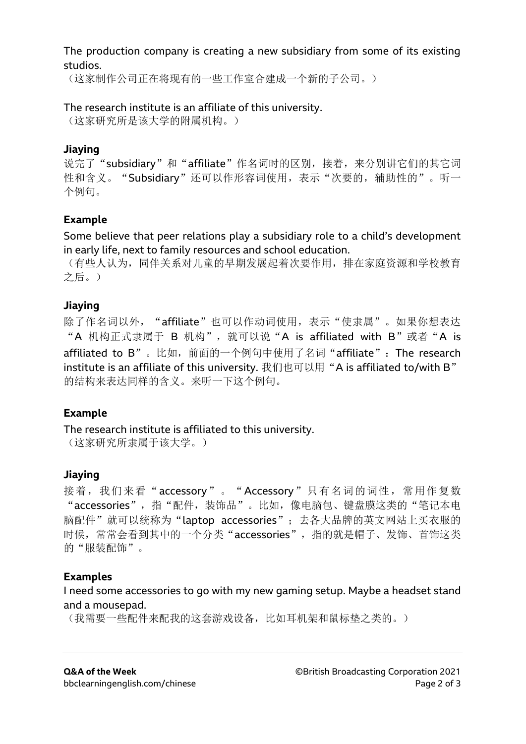#### The production company is creating a new subsidiary from some of its existing studios.

(这家制作公司正在将现有的一些工作室合建成一个新的子公司。)

## The research institute is an affiliate of this university.

(这家研究所是该大学的附属机构。)

## **Jiaying**

说完了"subsidiary"和"affiliate"作名词时的区别,接着,来分别讲它们的其它词 性和含义。"Subsidiary"还可以作形容词使用,表示"次要的,辅助性的"。听一 个例句。

## **Example**

Some believe that peer relations play a subsidiary role to a child's development in early life, next to family resources and school education.

(有些人认为,同伴关系对儿童的早期发展起着次要作用,排在家庭资源和学校教育 之后。)

# **Jiaying**

除了作名词以外, "affiliate"也可以作动词使用,表示"使隶属"。如果你想表达 "A 机构正式隶属于 B 机构", 就可以说"A is affiliated with B"或者"A is affiliated to B"。比如,前面的一个例句中使用了名词"affiliate": The research institute is an affiliate of this university. 我们也可以用"A is affiliated to/with B" 的结构来表达同样的含义。来听一下这个例句。

### **Example**

The research institute is affiliated to this university. (这家研究所隶属于该大学。)

# **Jiaying**

接着,我们来看"accessory"。"Accessory"只有名词的词性,常用作复数 "accessories", 指"配件, 装饰品"。比如, 像电脑包、键盘膜这类的"笔记本电 脑配件"就可以统称为"laptop accessories";去各大品牌的英文网站上买衣服的 时候,常常会看到其中的一个分类"accessories",指的就是帽子、发饰、首饰这类 的"服装配饰"。

### **Examples**

I need some accessories to go with my new gaming setup. Maybe a headset stand and a mousepad.

(我需要一些配件来配我的这套游戏设备,比如耳机架和鼠标垫之类的。)